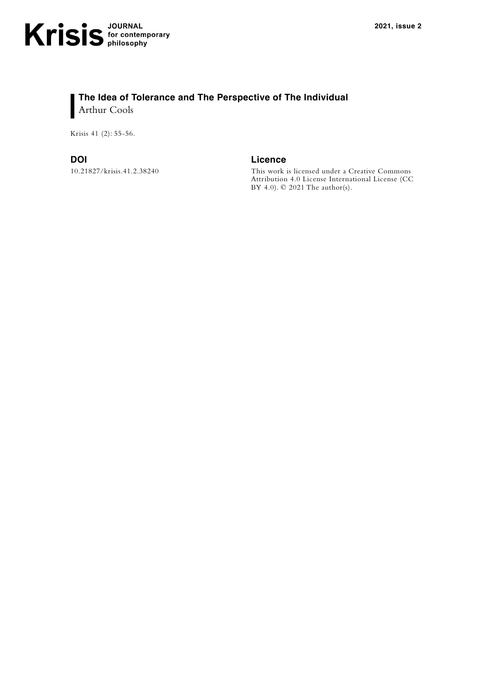Krisis 41 (2): 55-56.

10.21827/krisis.41.2.38240

**DOI Licence**

This work is licensed under a Creative Commons Attribution 4.0 License International License (CC BY 4.0). © 2021 The author(s).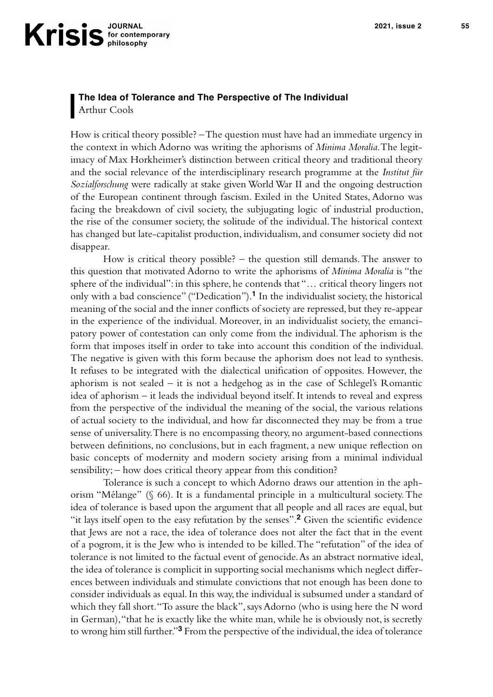## **The Idea of Tolerance and The Perspective of The Individual** Arthur Cools

How is critical theory possible? – The question must have had an immediate urgency in the context in which Adorno was writing the aphorisms of *Minima Moralia*. The legitimacy of Max Horkheimer's distinction between critical theory and traditional theory and the social relevance of the interdisciplinary research programme at the *Institut für Sozialforschung* were radically at stake given World War II and the ongoing destruction of the European continent through fascism. Exiled in the United States, Adorno was facing the breakdown of civil society, the subjugating logic of industrial production, the rise of the consumer society, the solitude of the individual. The historical context has changed but late-capitalist production, individualism, and consumer society did not disappear.

How is critical theory possible? – the question still demands. The answer to this question that motivated Adorno to write the aphorisms of *Minima Moralia* is "the sphere of the individual": in this sphere, he contends that "… critical theory lingers not only with a bad conscience" ("Dedication").**<sup>1</sup>** In the individualist society, the historical meaning of the social and the inner conflicts of society are repressed, but they re-appear in the experience of the individual. Moreover, in an individualist society, the emancipatory power of contestation can only come from the individual. The aphorism is the form that imposes itself in order to take into account this condition of the individual. The negative is given with this form because the aphorism does not lead to synthesis. It refuses to be integrated with the dialectical unification of opposites. However, the aphorism is not sealed – it is not a hedgehog as in the case of Schlegel's Romantic idea of aphorism – it leads the individual beyond itself. It intends to reveal and express from the perspective of the individual the meaning of the social, the various relations of actual society to the individual, and how far disconnected they may be from a true sense of universality. There is no encompassing theory, no argument-based connections between definitions, no conclusions, but in each fragment, a new unique reflection on basic concepts of modernity and modern society arising from a minimal individual sensibility; – how does critical theory appear from this condition?

Tolerance is such a concept to which Adorno draws our attention in the aphorism "Mélange" (§ 66). It is a fundamental principle in a multicultural society. The idea of tolerance is based upon the argument that all people and all races are equal, but "it lays itself open to the easy refutation by the senses".<sup>2</sup> Given the scientific evidence that Jews are not a race, the idea of tolerance does not alter the fact that in the event of a pogrom, it is the Jew who is intended to be killed. The "refutation" of the idea of tolerance is not limited to the factual event of genocide. As an abstract normative ideal, the idea of tolerance is complicit in supporting social mechanisms which neglect differences between individuals and stimulate convictions that not enough has been done to consider individuals as equal. In this way, the individual is subsumed under a standard of which they fall short. "To assure the black", says Adorno (who is using here the N word in German), "that he is exactly like the white man, while he is obviously not, is secretly to wrong him still further."**3** From the perspective of the individual, the idea of tolerance